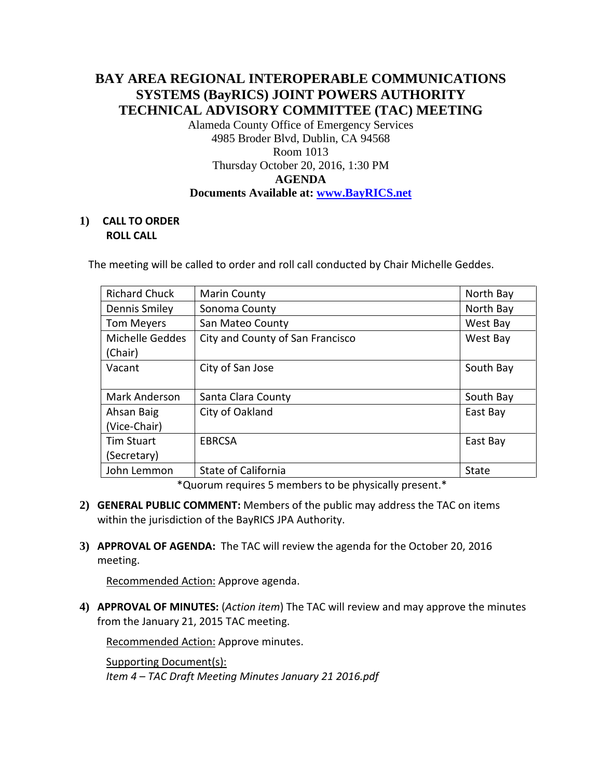## **BAY AREA REGIONAL INTEROPERABLE COMMUNICATIONS SYSTEMS (BayRICS) JOINT POWERS AUTHORITY TECHNICAL ADVISORY COMMITTEE (TAC) MEETING**

Alameda County Office of Emergency Services 4985 Broder Blvd, Dublin, CA 94568 Room 1013 Thursday October 20, 2016, 1:30 PM **AGENDA Documents Available at: [www.BayRICS.net](http://www.bayrics.net/)**

## **1) CALL TO ORDER ROLL CALL**

The meeting will be called to order and roll call conducted by Chair Michelle Geddes.

| <b>Richard Chuck</b> | <b>Marin County</b>              | North Bay |
|----------------------|----------------------------------|-----------|
| Dennis Smiley        | Sonoma County                    | North Bay |
| <b>Tom Meyers</b>    | San Mateo County                 | West Bay  |
| Michelle Geddes      | City and County of San Francisco | West Bay  |
| (Chair)              |                                  |           |
| Vacant               | City of San Jose                 | South Bay |
|                      |                                  |           |
| Mark Anderson        | Santa Clara County               | South Bay |
| Ahsan Baig           | City of Oakland                  | East Bay  |
| (Vice-Chair)         |                                  |           |
| <b>Tim Stuart</b>    | <b>EBRCSA</b>                    | East Bay  |
| (Secretary)          |                                  |           |
| John Lemmon          | State of California              | State     |

\*Quorum requires 5 members to be physically present.\*

- **2) GENERAL PUBLIC COMMENT:** Members of the public may address the TAC on items within the jurisdiction of the BayRICS JPA Authority.
- **3) APPROVAL OF AGENDA:** The TAC will review the agenda for the October 20, 2016 meeting.

Recommended Action: Approve agenda.

**4) APPROVAL OF MINUTES:** (*Action item*) The TAC will review and may approve the minutes from the January 21, 2015 TAC meeting.

Recommended Action: Approve minutes.

Supporting Document(s): *Item 4 – TAC Draft Meeting Minutes January 21 2016.pdf*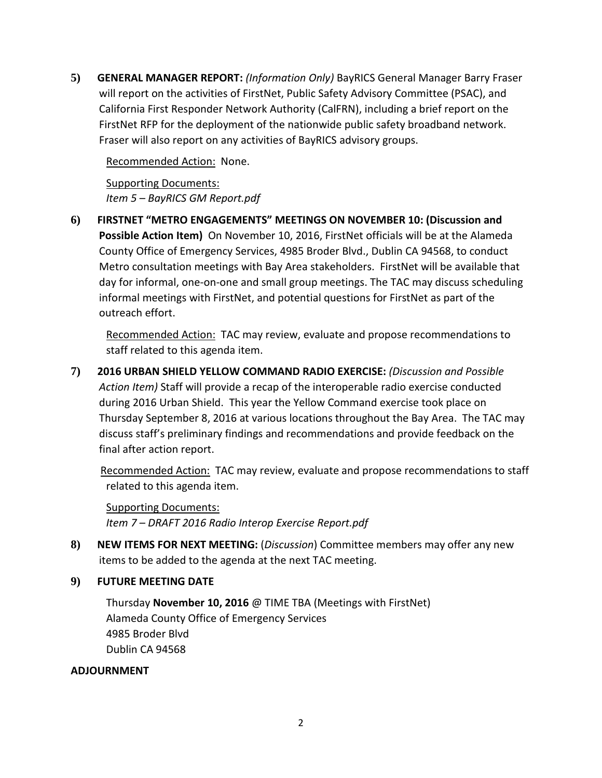**5) GENERAL MANAGER REPORT:** *(Information Only)* BayRICS General Manager Barry Fraser will report on the activities of FirstNet, Public Safety Advisory Committee (PSAC), and California First Responder Network Authority (CalFRN), including a brief report on the FirstNet RFP for the deployment of the nationwide public safety broadband network. Fraser will also report on any activities of BayRICS advisory groups.

Recommended Action: None.

Supporting Documents: *Item 5 – BayRICS GM Report.pdf*

**6) FIRSTNET "METRO ENGAGEMENTS" MEETINGS ON NOVEMBER 10: (Discussion and Possible Action Item)** On November 10, 2016, FirstNet officials will be at the Alameda County Office of Emergency Services, 4985 Broder Blvd., Dublin CA 94568, to conduct Metro consultation meetings with Bay Area stakeholders. FirstNet will be available that day for informal, one-on-one and small group meetings. The TAC may discuss scheduling informal meetings with FirstNet, and potential questions for FirstNet as part of the outreach effort.

Recommended Action: TAC may review, evaluate and propose recommendations to staff related to this agenda item.

**7) 2016 URBAN SHIELD YELLOW COMMAND RADIO EXERCISE:** *(Discussion and Possible Action Item)* Staff will provide a recap of the interoperable radio exercise conducted during 2016 Urban Shield. This year the Yellow Command exercise took place on Thursday September 8, 2016 at various locations throughout the Bay Area. The TAC may discuss staff's preliminary findings and recommendations and provide feedback on the final after action report.

Recommended Action: TAC may review, evaluate and propose recommendations to staff related to this agenda item.

Supporting Documents:

*Item 7 – DRAFT 2016 Radio Interop Exercise Report.pdf*

- **8) NEW ITEMS FOR NEXT MEETING:** (*Discussion*) Committee members may offer any new items to be added to the agenda at the next TAC meeting.
- **9) FUTURE MEETING DATE**

Thursday **November 10, 2016** @ TIME TBA (Meetings with FirstNet) Alameda County Office of Emergency Services 4985 Broder Blvd Dublin CA 94568

## **ADJOURNMENT**